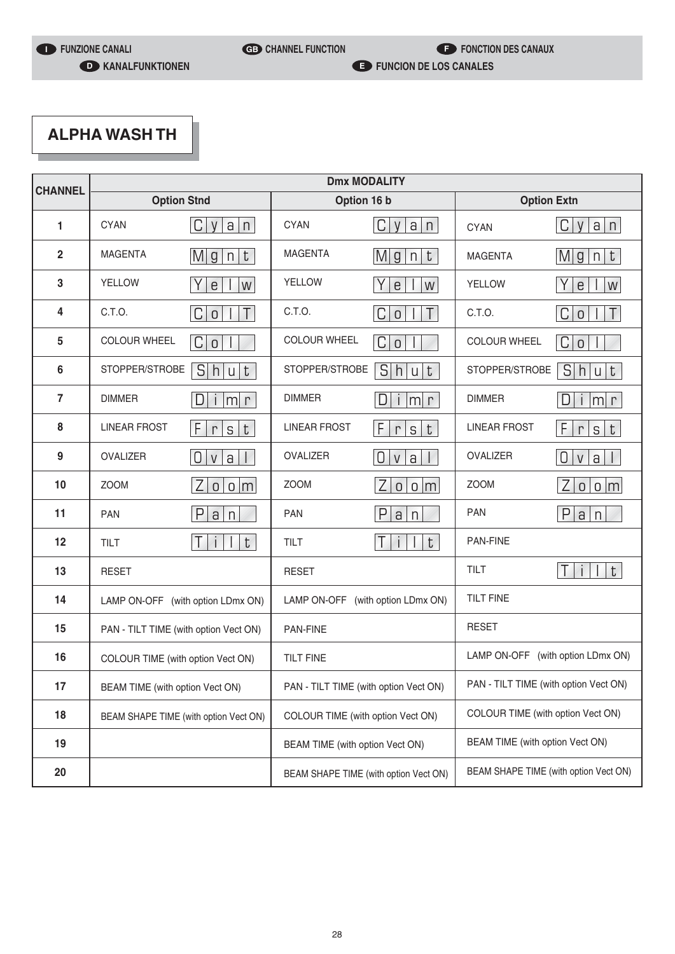# **ALPHA WASH TH**

| <b>CHANNEL</b> | <b>Dmx MODALITY</b>                   |                                 |                                       |                                        |                                       |                                   |
|----------------|---------------------------------------|---------------------------------|---------------------------------------|----------------------------------------|---------------------------------------|-----------------------------------|
|                | <b>Option Stnd</b>                    |                                 | Option 16 b                           |                                        | <b>Option Extn</b>                    |                                   |
| 1              | <b>CYAN</b>                           | C <br>a n<br>V                  | <b>CYAN</b>                           | C <br>$\vee$<br>a<br>n                 | <b>CYAN</b>                           | C<br>a n<br>V                     |
| $\overline{2}$ | <b>MAGENTA</b>                        | Mg n<br>t                       | <b>MAGENTA</b>                        | Mg n <br>$\ensuremath{\text{t}}$       | <b>MAGENTA</b>                        | t <br>Mg<br>n                     |
| 3              | <b>YELLOW</b>                         | $\mathsf{e}$<br>W               | <b>YELLOW</b>                         | $\epsilon$<br>W                        | <b>YELLOW</b>                         | $\mathsf e$<br>W                  |
| 4              | C.T.O.                                | T<br> C <br>$\overline{0}$      | C.T.O.                                | C <br>T<br>$\mathsf 0$                 | C.T.O.                                | C<br>$\top$<br>$\overline{0}$     |
| 5              | <b>COLOUR WHEEL</b>                   | C<br>$\overline{O}$             | <b>COLOUR WHEEL</b>                   | C <br>$\overline{0}$                   | <b>COLOUR WHEEL</b>                   | C<br>$\overline{0}$               |
| 6              | STOPPER/STROBE                        | S<br>t<br>h<br>$\mathsf{u}$     | STOPPER/STROBE                        | S<br>u t<br> h                         | STOPPER/STROBE                        | S<br>t<br>h u                     |
| $\overline{7}$ | <b>DIMMER</b>                         | D<br> m <br>$\Gamma$<br>$\vert$ | <b>DIMMER</b>                         | D.<br>m r<br>$\overline{1}$            | <b>DIMMER</b>                         | D.<br> m r<br>$\overline{1}$      |
| 8              | <b>LINEAR FROST</b>                   | F<br>t<br>S<br>$\Gamma$         | <b>LINEAR FROST</b>                   | F<br>t<br>S<br>$\Gamma$                | <b>LINEAR FROST</b>                   | F<br> t <br>${\sf S}$<br>$\Gamma$ |
| 9              | <b>OVALIZER</b>                       | 0<br>$\mathsf{a}$<br>V          | OVALIZER                              | $\cup$<br>$\mathsf{V}$<br>$\mathsf{a}$ | <b>OVALIZER</b>                       | 0<br>$\mbox{a}$<br>$\mathsf{V}$   |
| 10             | <b>ZOOM</b>                           | Z<br>0 0 m                      | <b>ZOOM</b>                           | Z <br>0 0 m                            | <b>ZOOM</b>                           | Z<br>0 0 m                        |
| 11             | <b>PAN</b>                            | P<br>a<br>n                     | <b>PAN</b>                            | $\mathsf{P}$<br>a<br>n                 | <b>PAN</b>                            | P<br>a n                          |
| 12             | TILT                                  | t<br>T                          | TILT                                  | Τ<br>t<br>$\mathbf{i}$<br>$\mathbf{I}$ | PAN-FINE                              |                                   |
| 13             | <b>RESET</b>                          |                                 | <b>RESET</b>                          |                                        | <b>TILT</b>                           | t<br>$\top$<br>¢                  |
| 14             | LAMP ON-OFF (with option LDmx ON)     |                                 | LAMP ON-OFF (with option LDmx ON)     |                                        | <b>TILT FINE</b>                      |                                   |
| 15             | PAN - TILT TIME (with option Vect ON) |                                 | <b>PAN-FINE</b>                       |                                        | <b>RESET</b>                          |                                   |
| 16             | COLOUR TIME (with option Vect ON)     |                                 | <b>TILT FINE</b>                      |                                        | LAMP ON-OFF (with option LDmx ON)     |                                   |
| 17             | BEAM TIME (with option Vect ON)       |                                 | PAN - TILT TIME (with option Vect ON) |                                        | PAN - TILT TIME (with option Vect ON) |                                   |
| 18             | BEAM SHAPE TIME (with option Vect ON) |                                 | COLOUR TIME (with option Vect ON)     |                                        | COLOUR TIME (with option Vect ON)     |                                   |
| 19             |                                       |                                 | BEAM TIME (with option Vect ON)       |                                        | BEAM TIME (with option Vect ON)       |                                   |
| 20             |                                       |                                 | BEAM SHAPE TIME (with option Vect ON) |                                        | BEAM SHAPE TIME (with option Vect ON) |                                   |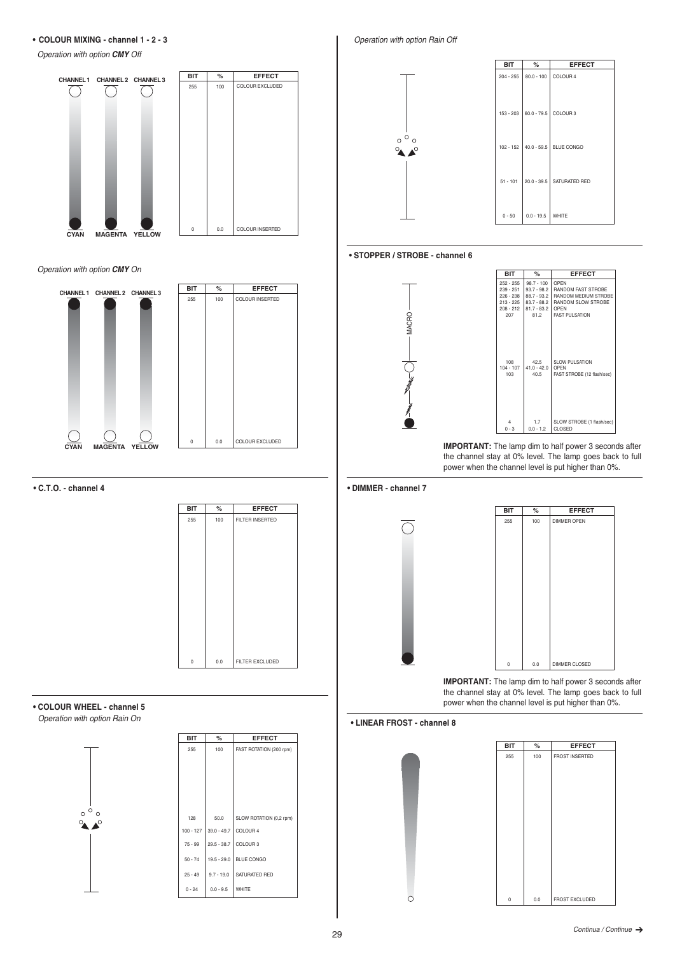**• COLOUR MIXING - channel 1 - 2 - 3**

Operation with option *CMY* Off





#### **• C.T.O. - channel 4**



#### **• COLOUR WHEEL - channel 5** Operation with option Rain On

 $\circ \circ$  $\alpha$  $\blacktriangle^{\circ}$ 



Operation with option Rain Off



# **• STOPPER / STROBE - channel 6**

MACRO



**IMPORTANT:** The lamp dim to half power 3 seconds after the channel stay at 0% level. The lamp goes back to full power when the channel level is put higher than 0%.

#### **• DIMMER - channel 7**



**IMPORTANT:** The lamp dim to half power 3 seconds after the channel stay at 0% level. The lamp goes back to full power when the channel level is put higher than 0%.

### **• LINEAR FROST - channel 8**

 $\circ$ 

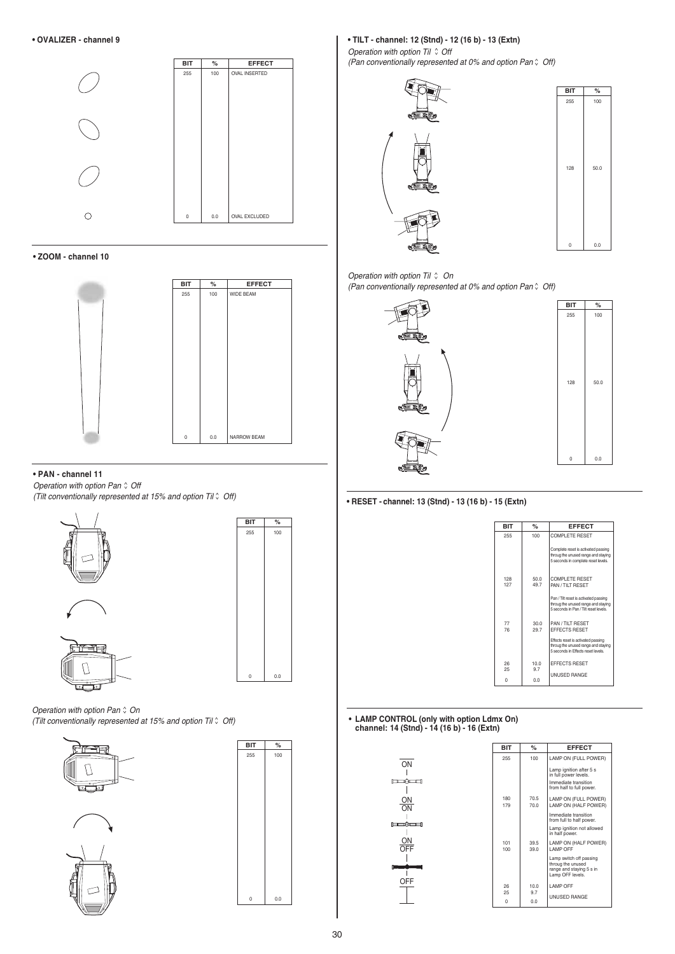

**• ZOOM - channel 10**



#### **• PAN - channel 11**

Operation with option Pan  $\hat{O}$  Off (Tilt conventionally represented at 15% and option Til  $\hat{O}$  Off)



Operation with option Pan  $\hat{\circ}$  On (Tilt conventionally represented at 15% and option Til  $\hat{v}$  Off)





**BIT %** 255 100

 $0<sub>0</sub>$ 

## **• TILT - channel: 12 (Stnd) - 12 (16 b) - 13 (Extn)**

Operation with option Til  $\hat{C}$  Off (Pan conventionally represented at 0% and option Pan  $\hat{v}$  Off)





#### Operation with option Til  $\hat{v}$  On (Pan conventionally represented at 0% and option Pan  $\hat{v}$  Off)



| <b>BIT</b> | $\%$ |
|------------|------|
| 255        | 100  |
| 128        | 50.0 |
| 0          | 0.0  |

**• RESET - channel: 13 (Stnd) - 13 (16 b) - 15 (Extn)**



**• LAMP CONTROL (only with option Ldmx On) channel: 14 (Stnd) - 14 (16 b) - 16 (Extn)**

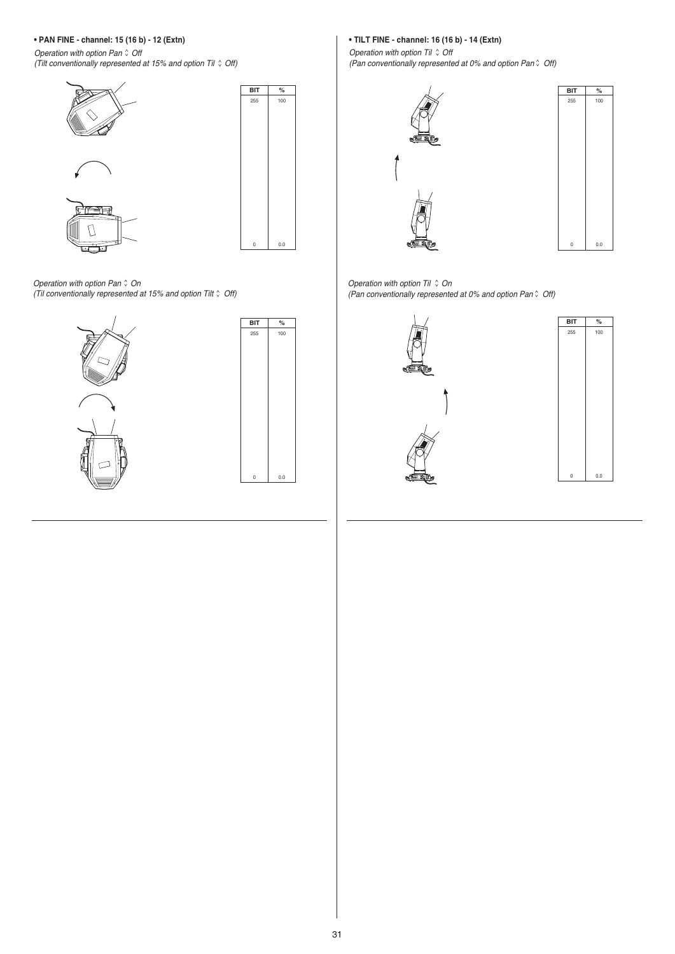# **• PAN FINE - channel: 15 (16 b) - 12 (Extn)**

Operation with option Pan  $\hat{O}$  Off (Tilt conventionally represented at 15% and option Til  $\hat{O}$  Off)



Operation with option Pan  $\hat{O}$  On (Til conventionally represented at 15% and option Tilt  $\hat{C}$  Off)





# **• TILT FINE - channel: 16 (16 b) - 14 (Extn)**

Operation with option Til  $\hat{v}$  Off (Pan conventionally represented at 0% and option Pan  $\hat{v}$  Off)





Operation with option Til  $\hat{O}$  On (Pan conventionally represented at 0% and option Pan  $\hat{O}$  Off)